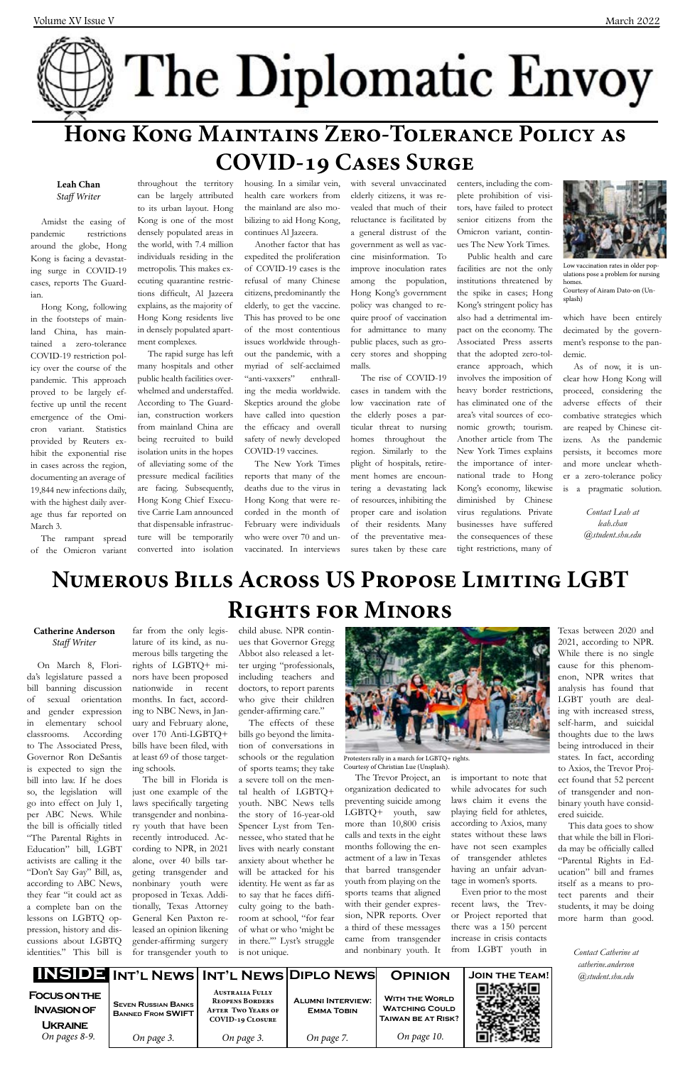# The Diplomatic Envoy **Hong Kong Maintains Zero-Tolerance Policy as COVID-19 Cases Surge**

### **Leah Chan** *Staff Writer*

Amidst the easing of pandemic restrictions around the globe, Hong Kong is facing a devastating surge in COVID-19 cases, reports The Guardian.

Hong Kong, following in the footsteps of mainland China, has maintained a zero-tolerance COVID-19 restriction policy over the course of the pandemic. This approach proved to be largely effective up until the recent emergence of the Omicron variant. Statistics provided by Reuters exhibit the exponential rise in cases across the region, documenting an average of 19,844 new infections daily, with the highest daily average thus far reported on March 3.

The rampant spread of the Omicron variant

throughout the territory can be largely attributed to its urban layout. Hong Kong is one of the most densely populated areas in the world, with 7.4 million individuals residing in the metropolis. This makes executing quarantine restrictions difficult, Al Jazeera explains, as the majority of Hong Kong residents live in densely populated apartment complexes.

The rapid surge has left many hospitals and other public health facilities overwhelmed and understaffed. According to The Guardian, construction workers from mainland China are being recruited to build isolation units in the hopes of alleviating some of the pressure medical facilities are facing. Subsequently, Hong Kong Chief Executive Carrie Lam announced that dispensable infrastructure will be temporarily converted into isolation

housing. In a similar vein, health care workers from the mainland are also mobilizing to aid Hong Kong, continues Al Jazeera.

Another factor that has expedited the proliferation of COVID-19 cases is the refusal of many Chinese citizens, predominantly the elderly, to get the vaccine. This has proved to be one of the most contentious issues worldwide throughout the pandemic, with a myriad of self-acclaimed "anti-vaxxers" enthralling the media worldwide. Skeptics around the globe have called into question the efficacy and overall safety of newly developed COVID-19 vaccines.

The New York Times reports that many of the deaths due to the virus in Hong Kong that were recorded in the month of February were individuals who were over 70 and unvaccinated. In interviews

|                                                             |                                                        |                                                                                                          | INSIDE INT'L NEWS   INT'L NEWS DIPLO NEWS     | <b>OPINION</b>                                                              | <b>JOIN THE TEAM!</b> |
|-------------------------------------------------------------|--------------------------------------------------------|----------------------------------------------------------------------------------------------------------|-----------------------------------------------|-----------------------------------------------------------------------------|-----------------------|
| <b>FOCUS ON THE</b><br><b>INVASION OF</b><br><b>UKRAINE</b> | <b>SEVEN RUSSIAN BANKS</b><br><b>BANNED FROM SWIFT</b> | <b>AUSTRALIA FULLY</b><br><b>REOPENS BORDERS</b><br><b>AFTER TWO YEARS OF</b><br><b>COVID-19 CLOSURE</b> | <b>ALUMNI INTERVIEW:</b><br><b>EMMA TOBIN</b> | <b>WITH THE WORLD</b><br><b>WATCHING COULD</b><br><b>TAIWAN BE AT RISK?</b> |                       |
| On pages 8-9.                                               | On page 3.                                             | On page 3.                                                                                               | On page 7.                                    | On page 10.                                                                 |                       |

with several unvaccinated elderly citizens, it was revealed that much of their reluctance is facilitated by a general distrust of the government as well as vaccine misinformation. To improve inoculation rates among the population, Hong Kong's government policy was changed to require proof of vaccination for admittance to many public places, such as grocery stores and shopping malls.

The rise of COVID-19 cases in tandem with the low vaccination rate of the elderly poses a particular threat to nursing homes throughout the region. Similarly to the plight of hospitals, retirement homes are encountering a devastating lack of resources, inhibiting the proper care and isolation of their residents. Many of the preventative measures taken by these care centers, including the complete prohibition of visitors, have failed to protect senior citizens from the Omicron variant, continues The New York Times.

Public health and care facilities are not the only institutions threatened by the spike in cases; Hong Kong's stringent policy has also had a detrimental impact on the economy. The Associated Press asserts that the adopted zero-tolerance approach, which involves the imposition of heavy border restrictions, has eliminated one of the area's vital sources of economic growth; tourism. Another article from The New York Times explains the importance of international trade to Hong Kong's economy, likewise diminished by Chinese virus regulations. Private businesses have suffered the consequences of these tight restrictions, many of

which have been entirely decimated by the government's response to the pandemic.

As of now, it is unclear how Hong Kong will proceed, considering the adverse effects of their combative strategies which are reaped by Chinese citizens. As the pandemic persists, it becomes more and more unclear whether a zero-tolerance policy is a pragmatic solution.

> *Contact Leah at leah.chan @student.shu.edu*

## **Numerous Bills Across US Propose Limiting LGBT Rights for Minors**

#### **Catherine Anderson** *Staff Writer*

On March 8, Florida's legislature passed a bill banning discussion of sexual orientation and gender expression in elementary school classrooms. According to The Associated Press, Governor Ron DeSantis is expected to sign the bill into law. If he does so, the legislation will go into effect on July 1, per ABC News. While the bill is officially titled "The Parental Rights in Education" bill, LGBT activists are calling it the "Don't Say Gay" Bill, as, according to ABC News, they fear "it could act as a complete ban on the lessons on LGBTQ oppression, history and discussions about LGBTQ identities." This bill is

far from the only legislature of its kind, as numerous bills targeting the rights of LGBTQ+ minors have been proposed nationwide in recent months. In fact, according to NBC News, in January and February alone, over 170 Anti-LGBTQ+ bills have been filed, with at least 69 of those targeting schools.

The bill in Florida is

just one example of the laws specifically targeting transgender and nonbinary youth that have been recently introduced. According to NPR, in 2021 alone, over 40 bills targeting transgender and nonbinary youth were proposed in Texas. Additionally, Texas Attorney General Ken Paxton released an opinion likening gender-affirming surgery for transgender youth to

child abuse. NPR continues that Governor Gregg Abbot also released a letter urging "professionals, including teachers and doctors, to report parents who give their children gender-affirming care."

The effects of these bills go beyond the limitation of conversations in schools or the regulation of sports teams; they take a severe toll on the mental health of LGBTQ+ youth. NBC News tells the story of 16-year-old Spencer Lyst from Tennessee, who stated that he lives with nearly constant anxiety about whether he will be attacked for his identity. He went as far as to say that he faces difficulty going to the bathroom at school, "for fear of what or who 'might be in there."" Lyst's struggle is not unique.



organization dedicated to preventing suicide among LGBTQ+ youth, saw more than 10,800 crisis calls and texts in the eight months following the enactment of a law in Texas that barred transgender youth from playing on the sports teams that aligned with their gender expression, NPR reports. Over a third of these messages came from transgender and nonbinary youth. It

The Trevor Project, an is important to note that

while advocates for such laws claim it evens the playing field for athletes, according to Axios, many states without these laws have not seen examples of transgender athletes having an unfair advantage in women's sports. Even prior to the most recent laws, the Trevor Project reported that there was a 150 percent increase in crisis contacts from LGBT youth in

Texas between 2020 and 2021, according to NPR. While there is no single cause for this phenomenon, NPR writes that analysis has found that LGBT youth are dealing with increased stress, self-harm, and suicidal thoughts due to the laws being introduced in their states. In fact, according to Axios, the Trevor Project found that 52 percent of transgender and nonbinary youth have considered suicide. This data goes to show that while the bill in Florida may be officially called "Parental Rights in Education" bill and frames itself as a means to protect parents and their students, it may be doing more harm than good.

> *Contact Catherine at catherine.anderson @student.shu.edu*

Protesters rally in a march for LGBTQ+ rights. Courtesy of Christian Lue (Unsplash).



Low vaccination rates in older populations pose a problem for nursing homes Courtesy of Airam Dato-on (Unsplash)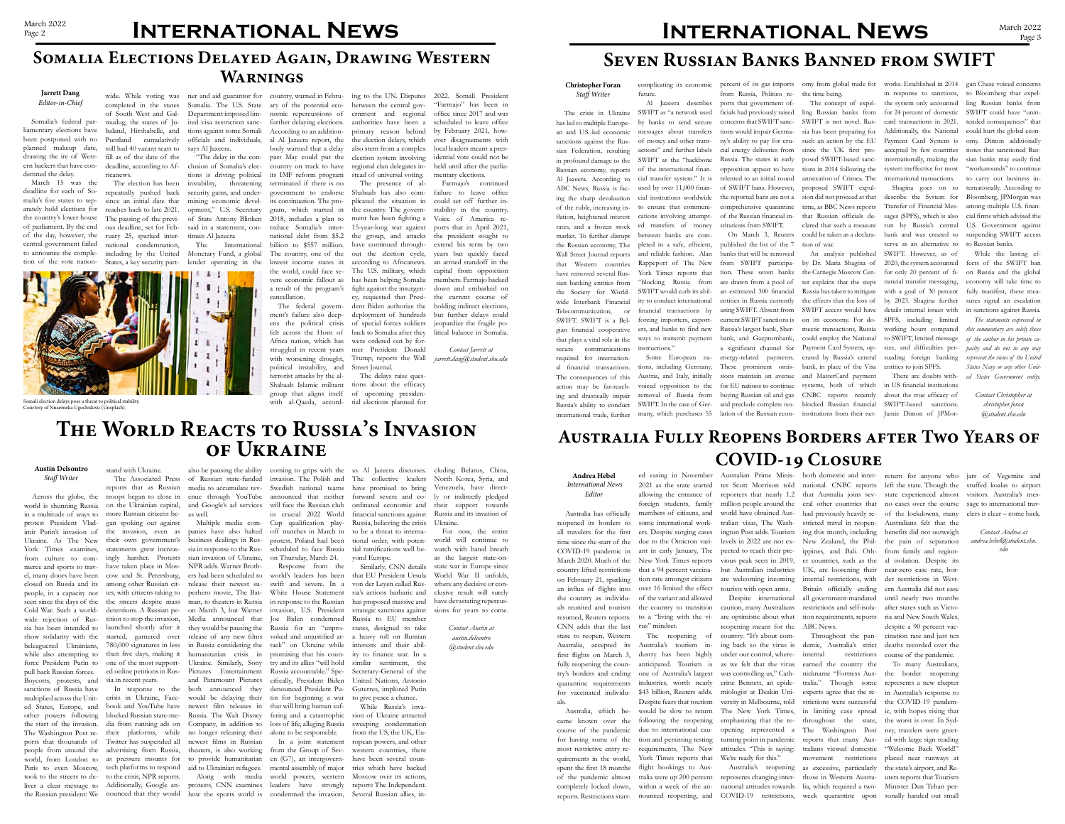## **Australia Fully Reopens Borders after Two Years of COVID-19 Closure**

### **Andrea Hebel**  *International News Editor*

## an influx of flights into over 16 limited the effect 2021 as the state started allowing the entrance of foreign students, family members of citizens, and some international workers. Despite surging cases due to the Omicron variant in early January, The New York Times reports that a 94 percent vaccination rate amongst citizens of the variant and allowed the country to transition caution, many Australians restrictions and self-isola- after states such as Victo-

Australia has officially reopened its borders to all travelers for the first time since the start of the COVID-19 pandemic in March 2020. Much of the country lifted restrictions on February 21, sparking the country as individuals reunited and tourism resumed, Reuters reports. to a "living with the vi- are optimistic about what tion requirements, reports ria and New South Wales, CNN adds that the last rus" mindset. state to reopen, Western Australia, accepted its first flights on March 3, dustry has been highly fully reopening the country's borders and ending quarantine requirements for vaccinated individuals.

quirements in the world,

Australia, which be-would be slow to return came known over the following the reopening course of the pandemic due to international caufor having some of the tion and persisting testing most restrictive entry re-requirements, The New spent the first 18 months flight bookings to Aus-Australia's tourism inanticipated. Tourism is one of Australia's largest industries, worth nearly \$43 billion, Reuters adds. Despite fears that tourism York Times reports that

The reopening of country. "It's about comreopening means for the ABC News. ing back so the virus is under our control, where- internal as we felt that the virus was controlling us," Cathversity in Melbourne, told turning point in pandemic reports that many Aus-We're ready for this."

ter Scott Morrison told reporters that nearly 1.2 that Australia joins sev- state experienced almost visitors. Australia's mesmillion people around the world have obtained Australian visas, The Washington Post adds. Tourism levels in 2022 are not ex-New Zealand, the Philpected to reach their previous peak seen in 2019, er countries, such as the al isolation. Despite its but Australian industries UK, are loosening their are welcoming incoming tourists with open arms.

of the pandemic almost tralia were up 200 percent represents changing inter-those in Western Austracompletely locked down, within a week of the an- national attitudes towards lia, which required a two- Minister Dan Tehan pererine Bennett, an epide-tralia." Though some represents a new chapter miologist at Deakin Uni-experts agree that the re-in Australia's response to The New York Times, in limiting case spread emphasizing that the re-throughout the state, opening represented a The Washington Post attitudes. "This is saying: tralians viewed domestic Australia's reopening as excessive, particularly demic, Australia's strict restrictions earned the country the nickname "Fortress Ausstrictions were successful movement restrictions

reports. Restrictions start-nounced reopening, and COVID-19 restrictions, week quarantine upon sonally handed out small To many Australians, the border reopening the COVID-19 pandemic, with hopes rising that the worst is over. In Sydney, travelers were greeted with large sign reading "Welcome Back World!" placed near runways at the state's airport, and Reuters reports that Tourism

ed easing in November Australian Prime Minis-both domestic and inter-return for anyone who jars of Vegemite and national. CNBC reports left the state. Though the stuffed koalas to airport no cases over the course sage to international trav-

eral other countries that stricted travel in reopening this month, including ippines, and Bali. Othinternal restrictions, with

Despite international all government-mandated until nearly two months had previously heavily re-of the lockdowns, many elers is clear – come back. Britain officially ending ern Australia did not ease Throughout the pan-cination rate and just ten Australians felt that the benefits did not outweigh the pain of separation from family and regionnear-zero case rate, border restrictions in Westdespite a 90 percent vacdeaths recorded over the course of the pandemic.

people, in a capacity not ies, with citizens taking to perhero movie, The Bat- White House Statement sia's actions barbaric and Similarly, CNN details that EU President Ursula strategic sanctions against Russia to EU member states, designed to take a heavy toll on Russian interests and their ability to finance war. In a similar sentiment, the Secretary-General of the United Nations, Antonio Guterres, implored Putin

*Contact Andrea at andrea.hebel@student.shu. edu*

## **Somalia Elections Delayed Again, Drawing Western Warnings**

### **Austin Delsontro** *Staff Writer*

seen since the days of the the streets despite mass man, to theaters in Russia in response to the Russian has proposed massive and have devastating repercus-For now, the entire world will continue to watch with bated breath as the largest state-onstate war in Europe since World War II unfolds, where any decisive or conclusive result will surely sions for years to come.

Across the globe, the troops began to close in on the Ukrainian capital, more Russian citizens be-

stand with Ukraine.

gan spoking out against the invasion, even as their own government's statements grew increasingly harsher. Protests cow and St. Petersburg, sia in recent years.

The Associated Press of Russian state-funded reports that as Russian media to accumulate revalso be pausing the ability enue through YouTube and Google's ad services will face the Russian club as well.

ed online petitions in Rus-Pictures Entertainment Russia accountable." Spe-In response to the both announced they denounced President Pupanies have also halted business dealings in Russia in response to the Russian invasion of Ukraine, on Thursday, March 24. NPR adds. Warner Broth-

world is shunning Russia in a multitude of ways to protest President Vladimir Putin's invasion of Ukraine. As The New York Times examines from culture to commerce and sports to trav-have taken place in Mosel, many doors have been closed on Russia and its among other Russian cit-release their newest su-swift and severe. In a von der Leyen called Rus-Cold War. Such a worldwide rejection of Russia has been intended to launched shortly after it they would be pausing the Russia for an "unproshow solidarity with the started, garnered over release of any new films voked and unjustified atbeleaguered Ukrainians, while also attempting to than five days, making it humanitarian crisis in promising that his counforce President Putin to one of the most support- Ukraine. Similarly, Sony try and its allies "will hold pull back Russian forces. Boycotts, protests, and sanctions of Russia have multiplied across the Unit-crisis in Ukraine, Face-would be delaying their tin for beginning a war to give peace a chance. ed States, Europe, and book and YouTube have newest film releases in that will bring human sufother powers following blocked Russian state-me-Russia. The Walt Disney fering and a catastrophic the start of the invasion. dia from running ads on Company, in addition to loss of life, alleging Russia The Washington Post re- their platforms, while no longer releasing their alone to be responsible. ports that thousands of Twitter has suspended all newest films in Russian people from around the advertising from Russia, theaters, is also working from the Group of Sevworld, from London to as pressure mounts for to provide humanitarian en (G7), an intergovern-

detentions. A Russian pe-on March 3, but Warner invasion, U.S. President tition to stop the invasion, Media announced that Joe Biden condemned 780,000 signatures in less in Russia considering the tack" on Ukraine while ers had been scheduled to world's leaders has been and Paramount Pictures cifically, President Biden Response from the

Multiple media com-Cup qualification playinvasion. The Polish and Swedish national teams announced that neither in crucial 2022 World off matches in March in protest. Poland had been scheduled to face Russia

Paris to even Moscow, tech platforms to respond aid to Ukrainian refugees. mental assembly of major tries which have backed took to the streets to de-to the crisis, NPR reports. Along with media world powers, western Moscow over its actions, liver a clear message to Additionally, Google an-protests, CNN examines leaders have strongly reports The Independent. the Russian president: We nounced that they would how the sports world is condemned the invasion, Several Russian allies, in-While Russia's invasion of Ukraine attracted sweeping condemnation from the US, the UK, European powers, and other western countries, there have been several coun-

coming to grips with the as Al Jazeera discusses. collective leaders have promised to bring forward severe and coordinated economic and financial sanctions against Russia, believing the crisis to be a threat to international order, with potential ramifications well beyond Europe.

In a joint statement

**The World Reacts to Russia's Invasion of Ukraine**

cluding Belarus, China, North Korea, Syria, and Venezuela, have directly or indirectly pledged their support towards Russia and its invasion of

Ukraine.

*Contact Austin at austin.delsontro @student.shu.edu*

**Jarrett Dang** *Editor-in-Chief*

liamentary elections have baland, Hirshabelle, and been postponed with no planned makeup date, drawing the ire of Western backers that have condemned the delay.

March 15 was the deadline for each of Somalia's five states to separately hold elections for the country's lower house of parliament. By the end of the day, however, the central government failed to announce the completion of the vote nation-

Somalia's federal par-mudug, the states of Jucompleted in the states of South West and Gal-Puntland cumulatively still had 40 vacant seats to fill as of the date of the deadline, according to Africanews.

> The election has been repeatedly pushed back since an initial date that reaches back to late 2021. The passing of the previous deadline, set for February 25, sparked international condemnation, including by the United States, a key security part-

Department imposed limited visa restriction sanctions against some Somali officials and individuals, says Al Jazeera.

"The delay in the conclusion of Somalia's elections is driving political instability, threatening security gains, and undermining economic development," U.S. Secretary of State Antony Blinken said in a statement, continues Al Jazeera The International

Monetary Fund, a global lender operating in the

 $\mathbf{r}$ 

wide. While voting was ner and aid guarantor for country, warned in Febru-ing to the UN. Disputes 2022. Somali President Somalia. The U.S. State ary of the potential eco- between the central govprimary reason behind the election delays, which also stem from a complex election system involving regional clan delegates instead of universal voting.

nomic repercussions of further delaying elections. According to an additional Al Jazeera report, the body warned that a delay past May could put the country on track to have its IMF reform program terminated if there is no government to endorse its continuation. The program, which started in 2018, includes a plan to reduce Somalia's international debt from \$5.2 billion to \$557 million. The country, one of the lowest income states in the world, could face sea result of the program's cancellation.

The federal government's failure also deepens the political crisis felt across the Horn of Africa nation, which has struggled in recent years with worsening drought, political instability, and terrorist attacks by the al-Shabaab Islamic militant group that aligns itself with al-Qaeda, accordernment and regional office since 2017 and was authorities have been a scheduled to leave office "Farmajo" has been in by February 2021, however disagreements with local leaders meant a presidential vote could not be held until after the parliamentary elections.

vere economic fallout as has been helping Somalia The presence of al-Shabaab has also complicated the situation in the country. The government has been fighting a the group, and attacks have continued throughout the election cycle, according to Africanews. The U.S. military, which fight against the insurgency, requested that President Biden authorize the deployment of hundreds of special forces soldiers back to Somalia after they were ordered out by former President Donald Trump, reports the Wall *jarrett.dang@student.shu.edu*

> Street Journal. The delays raise questions about the efficacy of upcoming presidential elections planned for

15-year-long war against ports that in April 2021, Farmajo's continued failure to leave office could set off further instability in the country. Voice of America rethe president sought to extend his term by two years but quickly faced an armed standoff in the capital from opposition members. Farmajo backed down and embarked on the current course of holding indirect elections, but further delays could jeopardize the fragile political balance in Somalia.

*Contact Jarrett at* 

## **Seven Russian Banks Banned from SWIFT**

**Christopher Foran** *Staff Writer* The crisis in Ukraine has led to multiple European and U.S.-led economic sanctions against the Rus-

sian Federation, resulting in profound damage to the Russian economy, reports Al Jazeera. According to ABC News, Russia is facing the sharp devaluation of the ruble, increasing inflation, heightened interest rates, and a frozen stock market. To further disrupt the Russian economy, The Wall Street Journal reports that Western countries have removed several Russian banking entities from the Society for Worldwide Interbank Financial Telecommunication, or SWIFT. SWIFT is a Belgian financial cooperative that plays a vital role in the secure communications required for international financial transactions. The consequences of this action may be far-reaching and drastically impair Russia's ability to conduct

complicating its economic percent of its gas imports future.

Al Jazeera describes SWIFT as "a network used by banks to send secure messages about transfers of money and other transactions" and further labels SWIFT as the "backbone of the international financial transfer system." It is used by over 11,000 financial institutions worldwide to ensure that communications involving attempted transfers of money between banks are completed in a safe, efficient, and reliable fashion. Alan Rappeport of The New York Times reports that "blocking Russia from SWIFT would curb its ability to conduct international financial transactions by forcing importers, exporters, and banks to find new ways to transmit payment

international trade, further many, which purchases 55 lation of the Russian econinstructions." tions, including Germany, Austria, and Italy, initially voiced opposition to the removal of Russia from SWIFT. In the case of Ger-

from Russia, Politico reports that government officials had previously raised concerns that SWIFT sanctions would impair Germany's ability to pay for crucial energy deliveries from Russia. The states in early opposition appear to have relented to an initial round

of SWIFT bans. However, the reported bans are not a comprehensive quarantine of the Russian financial institutions from SWIFT.

Some European na-energy-related payments. On March 3, Reuters published the list of the 7 banks that will be removed from SWIFT participation. These seven banks are drawn from a pool of an estimated 300 financial entities in Russia currently using SWIFT. Absent from current SWIFT sanctions is Russia's largest bank, Sberbank, and Gazprombank, a significant channel for These prominent omissions maintain an avenue for EU nations to continue buying Russian oil and gas and preclude complete iso-

the time being.

SWIFT is not novel. Russuch an action by the EU posed SWIFT-based sanctions in 2014 following the annexation of Crimea. The proposed SWIFT expulsion did not proceed at that time, as BBC News reports that Russian officials declared that such a measure could be taken as a declaration of war.

omy from global trade for works. Established in 2014 gan Chase voiced concerns The concept of expel- the system only accounted ling Russian banks from for 24 percent of domestic SWIFT could have "uninsia has been preparing for Additionally, the National since the UK first pro- accepted by few countries notes that sanctioned Rusin response to sanctions, to Bloomberg that expelinternationally, making the system ineffective for most international transactions.

the Carnegie Moscow Cen-for only 20 percent of fiter explains that the steps Russia has taken to mitigate SWIFT access would have on its economy. For domestic transactions, Russia could employ the National Payment Card System, operated by Russia's central bank, in place of the Visa and MasterCard payment systems, both of which CNBC reports recently blocked Russian financial

An analysis published SWIFT. However, as of the effects that the loss of by 2023. Shagina further Shagina goes on to describe the System for Transfer of Financial Messages (SPFS), which is also run by Russia's central bank and was created to serve as an alternative to nancial transfer messaging, with a goal of 30 percent details internal issues with SPFS, including limited working hours compared to SWIFT, limited message size, and difficulties persuading foreign banking entities to join SPFS.

institutions from their net-Jamie Dimon of JPMor-There are doubts with-*ed States Government entity.* in US financial institutions about the true efficacy of SWIFT-based sanctions.

by Dr. Maria Shagina of 2020, the system accounted fects of the SWIFT ban While the lasting efon Russia and the global economy will take time to fully manifest, these measures signal an escalation in sanctions against Russia.

card transactions in 2021. tended consequences" that Payment Card System is omy. Dimon additionally ling Russian banks from could hurt the global econsian banks may easily find "workarounds" to continue to carry out business internationally. According to Bloomberg, JPMorgan was among multiple U.S. financial firms which advised the U.S. Government against suspending SWIFT access to Russian banks.

> *The statements expressed in this commentary are solely those of the author in his private capacity and do not in any way represent the views of the United States Navy or any other Unit-*

> > *Contact Christopher at christopher.foran @student.shu.edu*

Somali election delays pose a threat to political stability. Courtesy of Nnaemeka Ugochukwu (Unsplash).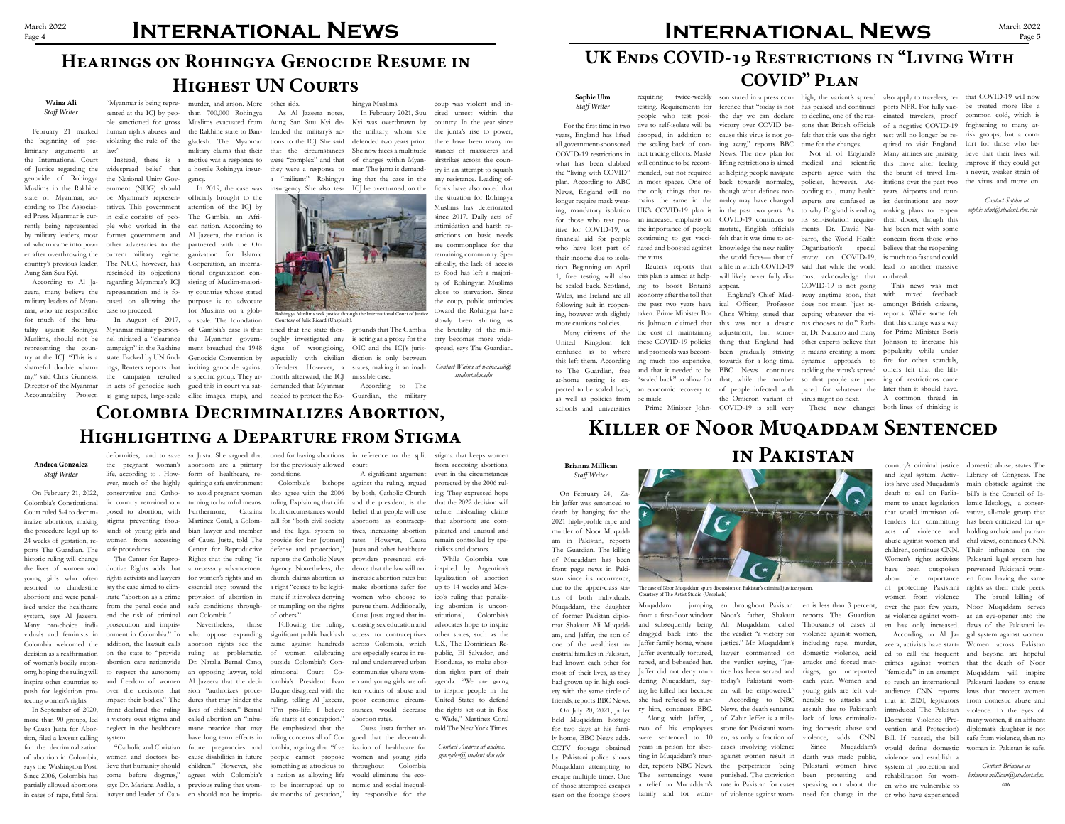# March 2022 **INTERNATIONAL NEWS**

## **Hearings on Rohingya Genocide Resume in HIGHEST UN COURTS**

## **Waina Ali** *Staff Writer*

tality against Rohingya Myanmar military person-of Gambia's case is that Muslims, should not be nel initiated a "clearance the Myanmar governrepresenting the coun-campaign" in the Rakhine ment breached the 1948 try at the ICJ. "This is a state. Backed by UN find-Genocide Convention by especially with civilian shameful double wham-ings, Reuters reports that inciting genocide against offenders. However, a my," said Chris Gunness, the campaign resulted a specific group. They ar-month afterward, the ICJ Director of the Myanmar in acts of genocide such gued this in court via sat- demanded that Myanmar Accountability Project. as gang rapes, large-scale ellite images, maps, and needed to protect the Ro- Guardian, the military

February 21 marked the beginning of preliminary arguments at law." the International Court of Justice regarding the genocide of Rohingya the National Unity Gov-gency. Muslims in the Rakhine ernment (NUG) should state of Myanmar, ac-be Myanmar's represen-officially brought to the cording to The Associat-tatives. This government attention of the ICJ by ed Press. Myanmar is cur-in exile consists of peo-The Gambia, an Afrirently being represented by military leaders, most former government and Al Jazeera, the nation is of whom came into pow-other adversaries to the partnered with the Orer after overthrowing the current military regime. country's previous leader, The NUG, however, has Cooperation, an interna-Aung San Suu Kyi.

zeera, many believe the representation and is fo-ty countries whose stated military leaders of Myan-cused on allowing the purpose is to advocate mar, who are responsible case to proceed. for much of the bru-

According to Al Ja-regarding Myanmar's ICJ ple who worked in the can nation. According to rescinded its objections

sented at the ICJ by peo-than 700,000 Rohingya

"Myanmar is being repre-murder, and arson. More other aids.

In August of 2017, al scale. The foundation ganization for Islamic tional organization consisting of Muslim-majorifor Muslims on a glob-

ple sanctioned for gross Muslims evacuated from Aung San Suu Kyi de-Kyi was overthrown by human rights abuses and the Rakhine state to Ban-fended the military's ac-the military, whom she violating the rule of the gladesh. The Myanmar tions to the ICJ. She said defended two years prior. Instead, there is a motive was a responce to were "complex" and that of charges within Myanwidespread belief that a hostile Rohingya insur-they were a response to mar. The junta is demandmilitary claims that their that the circumstances She now faces a multitude In 2019, the case was insurgency. She also tes-ICJ be overturned, on the a "militant" Rohingya ing that the case in the In February 2021, Suu

As Al Jazeera notes,

tified that the state thor-grounds that The Gambia oughly investigated any is acting as a proxy for the signs of wrongdoing,

### hingya Muslims.

OIC and the ICJ's jurisdiction is only between states, making it an inad-

missible case.

# **INTERNATIONAL NEWS** March 2022

According to The

coup was violent and incited unrest within the

country. In the year since the junta's rise to power, there have been many instances of massacres and airstrikes across the country in an attempt to squash any resistance. Leading officials have also noted that the situation for Rohingya Muslims has deteriorated since 2017. Daily acts of intimidation and harsh restrictions on basic needs are commonplace for the remaining community. Specifically, the lack of access to food has left a majority of Rohingyan Muslims close to starvation. Since the coup, public attitudes toward the Rohingya have slowly been shifting as the brutality of the military becomes more wide-

spread, says The Guardian.

*Contact Waina at waina.ali@ student.shu.edu*

## **Colombia Decriminalizes Abortion, Highlighting a Departure from Stigma**

## **Andrea Gonzalez** *Staff Writer*

partially allowed abortions says Dr. Mariana Ardila, a previous ruling that wom- to be interrupted up to nomic and social inequal-"Catholic and Christian future pregnancies and lombia, arguing that "five ization of healthcare for Causa Justa further argued that the decentralwomen and young girls throughout Colombia would eliminate the eco-

On February 21, 2022, Colombia's Constitutional Court ruled 5-4 to decriminalize abortions, making the procedure legal up to 24 weeks of gestation, reports The Guardian. The historic ruling will change the lives of women and young girls who often ized under the healthcare system, says Al Jazeera. end the risk of criminal Many pro-choice individuals and feminists in onment in Colombia." In who oppose expanding Colombia welcomed the addition, the lawsuit calls abortion rights see the decision as a reaffirmation of women's bodily autonomy, hoping the ruling will inspire other countries to and freedom of women Al Jazeera that the decipush for legislation protecting women's rights.

In September of 2020, more than 90 groups, led by Causa Justa for Abortion, filed a lawsuit calling system. for the decriminalization of abortion in Colombia, says the Washington Post. Since 2006, Colombia has

the pregnant woman's abortions are a primary for the previously allowed court. life, according to . How-form of healthcare, reever, much of the highly conservative and Catho-to avoid pregnant women also agree with the 2006 lic country remained op-turning to harmful means. posed to abortion, with Furthermore, Catalina stigma preventing thou-Martinez Coral, a Colom-call for "both civil society sands of young girls and bian lawyer and member and the legal system to tives, increasing abortion women from accessing of Causa Justa, told The provide for her [women] safe procedures.

The Center for Repro-Rights that the ruling "is reports the Catholic News ductive Rights adds that a necessary advancement Agency. Nonetheless, the quiring a safe environment conditions through out Colombia."

from the penal code and prosecution and imprison the state to "provide ruling as problematic. abortion care nationwide Dr. Natalia Bernal Cano, to respect the autonomy an opposing lawyer, told

in cases of rape, fatal fetal lawyer and leader of Cau-en should not be impris-six months of gestation," ity responsible for the over the decisions that sion "authorizes proce-Duque disagreed with the impact their bodies." The dures that may hinder the ruling, telling Al Jazeera, front declared the ruling lives of children." Bernal "I'm pro-life. I believe a victory over stigma and called abortion an "inhu-life starts at conception." neglect in the healthcare mane practice that may He emphasized that the women and doctors be-cause disabilities in future people cannot propose lieve that humanity should children." However, she something as atrocious to come before dogmas," agrees with Colombia's a nation as allowing life Nevertheless, those have long term effects in ruling concerns all of Co-

resorted to clandestine say the case aimed to elim-essential step toward the a right "ceases to be legiti-make abortions safer for abortions and were penal-inate "abortion as a crime provision of abortion in mate if it involves denying women who choose to rights activists and lawyers for women's rights and an church claims abortion as increase abortion rates but Center for Reproductive defense and protection," Justa and other healthcare A significant argument against the ruling, argued by both, Catholic Church and the president, is the belief that people will use abortions as contraceprates. However, Causa providers presented evidence that the law will not pursue them. Additionally, Causa Justa argued that increasing sex education and access to contraceptives across Colombia, which are especially scarce in rural and underserved urban communities where women and young girls are often victims of abuse and poor economic circumstances, would decrease abortion rates.

conditions.

Colombia's bishops ruling. Explaining that difficult circumstances would or trampling on the rights of others."

Following the ruling, significant public backlash came against hundreds of women celebrating outside Colombia's Constitutional Court. Colombia's President Ivan

deformities, and to save sa Justa. She argued that oned for having abortions in reference to the split stigma that keeps women

from accessing abortions, even in the circumstances protected by the 2006 ruling. They expressed hope that the 2022 decision will refute misleading claims that abortions are complicated and unusual and remain controlled by specialists and doctors.

years, England has lifted dropped, in addition to cause this virus is not go- felt that this was the right test will no longer be re- risk groups, but a complan. According to ABC in most spaces. One of back towards normalcy, policies, however. Ac- itations over the past two the virus and move on. longer require mask wear- mains the same in the malcy may have changed experts are confused as ist destinations are now ing, mandatory isolation UK's COVID-19 plan is in the past two years. As to why England is ending making plans to reopen for those who test pos- an increased emphasis on COVID-19 continues to its self-isolation require- their doors, though this itive for COVID-19, or the importance of people mutate, English officials ments. Dr. David Na-has been met with some financial aid for people continuing to get vacci- felt that it was time to ac- barro, the World Health concern from those who testing. Requirements for ference that "today is not has peaked and continues ports NPR. For fully vac-be treated more like a people who test posi-the day we can declare to decline, one of the rea-cinated travelers, proof common cold, which is mended, but not required at helping people navigate experts agree with the the brunt of travel lim-a newer, weaker strain of nated and boosted against knowledge the new reality Organization's special believe that the reopening Reuters reports that a life in which COVID-19 said that while the world lead to another massive lifting restrictions is aimed medical and scientific this move after feeling improve if they could get the world faces— that of envoy on COVID-19, is much too fast and could Not all of England's Many airlines are praising lieve that their lives will quired to visit England. outbreak.

While Colombia was inspired by Argentina's legalization of abortion up to 14 weeks and Mexico's ruling that penalizing abortion is unconstitutional, Colombia's advocates hope to inspire other states, such as the U.S., The Dominican Republic, El Salvador, and Honduras, to make abortion rights part of their agenda. "We are going to inspire people in the United States to defend the rights set out in Roe v. Wade," Martinez Coral

told The New York Times.

*Contact Andrea at andrea. gonzalez@student.shu.edu*



Courtesy of Julie Ricard (Unsplash).

# **Killer of Noor Muqaddam Sentenced**

#### **Brianna Millican**  *Staff Writer*

# **in Pakistan**

hir Jaffer was sentenced to death by hanging for the 2021 high-profile rape and murder of Noor Muqaddam in Pakistan, reports The Guardian. The killing of Muqaddam has been front page news in Pakistan since its occurrence, due to the upper-class status of both individuals. Muqaddam, the daughter of former Pakistan diplomat Shakaut Ali Muqaddam, and Jaffer, the son of one of the wealthiest industrial families in Pakistan, had known each other for most of their lives, as they had grown up in high society with the same circle of friends, reports BBC News.

On February 24, Zary him, continues BBC.

Muqaddam

On July 20, 2021, Jaffer held Muqaddam hostage for two days at his family home, BBC News adds. CCTV footage obtained by Pakistani police shows Muqaddam attempting to escape multiple times. One

Along with Jaffer, , two of his employees were sentenced to 10

ting in Muqaddam's mur-

Jaffer family home, where Jaffer eventually tortured, raped, and beheaded her. Jaffer did not deny murdering Muqaddam, saying he killed her because she had refused to marthe verdict saying, "justice has been served and today's Pakistani women will be empowered."

of those attempted escapes a relief to Muqaddam's rate in Pakistan for cases speaking out about the en who are vulnerable to years in prison for abet-cases involving violence der, reports NBC News. the perpetrator being Pakistani women have The sentencings were punished. The conviction been protesting and According to NBC News, the death sentence of Zahir Jeffer is a milestone for Pakistani women, as only a fraction of against women result in death was made public,

and subsequently being Ali Muqaddam, called Thousands of cases of dragged back into the the verdict "a victory for violence against women, justice." Mr. Muqaddam's including rape, murder, lawyer commented on domestic violence, acid attacks and forced marriages, go unreported each year. Women and young girls are left vulnerable to attacks and assault due to Pakistan's lack of laws criminalizing domestic abuse and violence, adds CNN. Since Muqaddam's

en throughout Pakistan. en is less than 3 percent,

seen on the footage shows family and for wom-of violence against wom-need for change in the or who have experienced crimes against women "femicide" in an attempt that in 2020, legislators introduced The Pakistan Domestic Violence (Prevention and Protection) Bill. If passed, the bill would define domestic violence and establish a system of protection and rehabilitation for wom-

from a first-floor window Noor's father, Shakaut reports The Guardian. as violence against wom-as an eye-opener into the over the past few years, Noor Muqaddam serves en has only increased. flaws of the Pakistani le-According to Al Ja-gal system against women. zeera, activists have start-Women across Pakistan ed to call the frequent and beyond are hopeful to reach an international Pakistani leaders to create audience. CNN reports laws that protect women The brutal killing of that the death of Noor Muqaddam will inspire from domestic abuse and violence. In the eyes of many women, if an affluent diplomat's daughter is not safe from violence, then no woman in Pakistan is safe.

abuse against women and women from violence

country's criminal justice domestic abuse, states The and legal system. Activ-Library of Congress. The ists have used Muqadam's main obstacle against the death to call on Parlia-bill's is the Council of Isment to enact legislation lamic Ideology, a conserthat would imprison of-vative, all-male group that fenders for committing has been criticized for upacts of violence and holding archaic and patriarchildren, continues CNN. Their influence on the Women's rights activists Pakistani legal system has have been outspoken prevented Pakistani womabout the importance en from having the same of protecting Pakistani rights as their male peers. chal views, continues CNN.

> *Contact Brianna at brianna.millican@student.shu. edu*

## **Sophie Ulm**

## *Staff Writer*

For the first time in two tive to self-isolate will be victory over COVID be- sons that British officials of a negative COVID-19 frightening to many at-

the "living with COVID" who have lost part of their income due to isola-the virus. tion. Beginning on April be scaled back. Scotland, Wales, and Ireland are all ing, however with slightly more cautious policies.

what has been dubbed will continue to be recom-

United Kingdom felt as well as policies from be made. schools and universities



1, free testing will also this plan is aimed at helpfollowing suit in reopen-the past two years have Many citizens of the the cost of maintaining ing to boost Britain's appear. economy after the toll that taken. Prime Minister Boris Johnson claimed that

all government-sponsored the scaling back of con-ing away," reports BBC time for the changes. COVID-19 restrictions in tact tracing efforts. Masks News. The new plan for News, England will no the only things that re- though what defines nor- cording to, many health years. Airports and tourrequiring twice-weekly son stated in a press con- high, the variant's spread also apply to travelers, re- that COVID-19 will now will likely never fully dis-

confused as to where and protocols was becom-been gradually striving it means creating a more popularity while under this left them. According ing much too expensive, towards for a long time. dynamic approach to fire for other scandals, to The Guardian, free and that it needed to be BBC News continues tackling the virus's spread others felt that the liftat-home testing is ex-"scaled back" to allow for that, while the number so that people are pre-ing of restrictions came pected to be scaled back, an economic recovery to of people infected with pared for whatever the later than it should have. these COVID-19 policies thing that England had other experts believe that Johnson to increase his Prime Minister John- COVID-19 is still very These new changes both lines of thinking is ical Officer, Professor does not mean "just ac-amongst British citizens, Chris Whitty, stated that cepting whatever the vi-reports. While some felt this was not a drastic rus chooses to do." Rathadjustment, but some-er, Dr. Nabarro and many for Prime Minister Boris the Omicron variant of virus might do next.

England's Chief Med-away anytime soon, that must acknowledge that COVID-19 is not going

This news was met with mixed feedback that this change was a way A common thread in

fort for those who be-

*Contact Sophie at sophie.ulm@student.shu.edu*

## **UK Ends COVID-19 Restrictions in "Living With COVID" Plan**



Courtesy of The Artist Studio (Unsplash)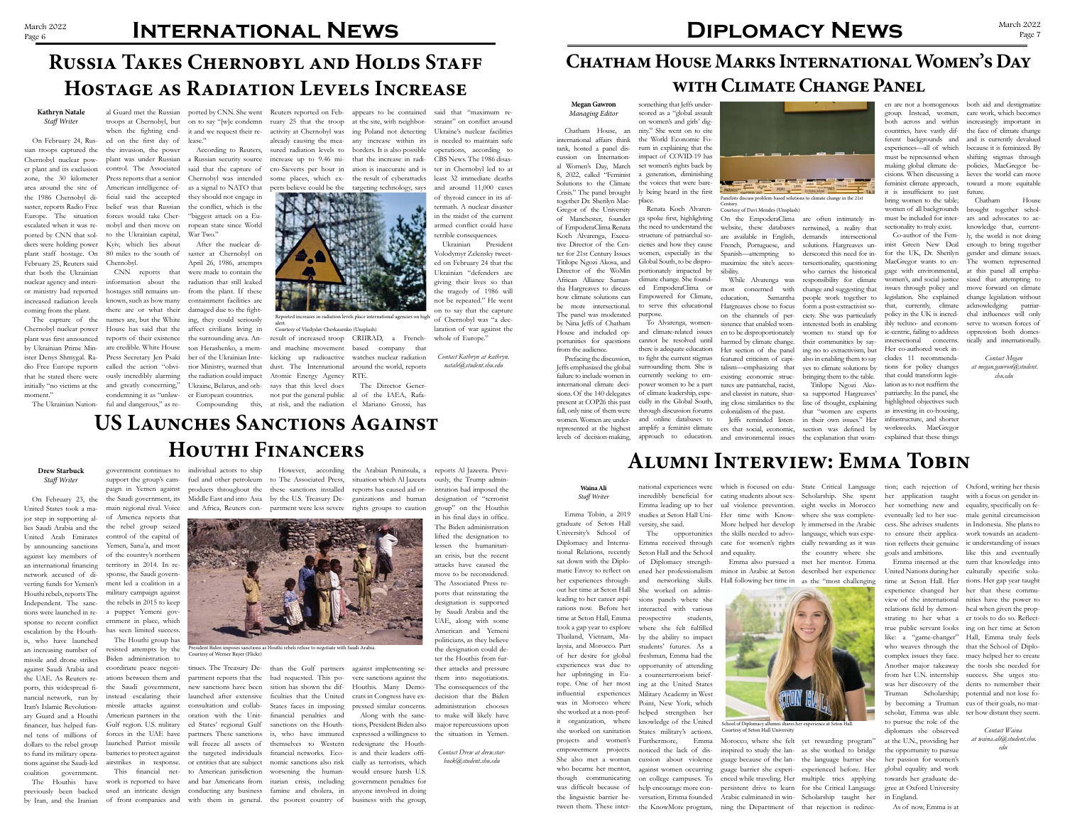## **Chatham House Marks International Women's Day with Climate Change Panel**

#### **Megan Gawron** *Managing Editor*

Chatham House, an

international affairs think tank, hosted a panel discussion on International Women's Day, March 8, 2022, called "Feminist Solutions to the Climate Crisis." The panel brought together Dr. Sherilyn Mac-place. Gregor of the University of Manchester, founder of EmpoderaClima Renata Koch Alvarenga, Executive Director of the Center for 21st Century Issues Titilope Ngozi Akosa, and Director of the WoMin African Alliance Samantha Hargreaves to discuss how climate solutions can be more intersectional. The panel was moderated by Nina Jeffs of Chatham House and included opportunities for questions from the audience.

Jeffs emphasized the global failure to include women in international climate decisions. Of the 140 delegates present at COP26 this past fall, only nine of them were women. Women are underrepresented at the highest

Prefacing the discussion, to fight the current stigmas To Alvarenga, womenand climate-related issues cannot be resolved until there is adequate education surrounding them. She is currently seeking to empower women to be a part of climate leadership, especially in the Global South, through discussion forums and online databases to amplify a feminist climate



something that Jeffs underscored as a "global assault on women's and girls' dignity." She went on to cite the World Economic Forum in explaining that the impact of COVID-19 has set women's rights back by a generation, diminishing the voices that were barely being heard in the first

Renata Koch Alvarenga spoke first, highlighting the need to understand the structure of patriarchal societies and how they cause women, especially in the Global South, to be disproportionately impacted by climate change. She founded EmpoderaClima or Empowered for Climate, to serve this educational purpose.

While Alvarenga was most concerned with education, Samantha Hargreaves chose to focus on the channels of persistence that enabled women to be disproportionately harmed by climate change. Her section of the panel featured criticism of capitalism—emphasizing that existing economic structures are patriarchal, racist, and classist in nature, sharing close similarities to the colonialism of the past.

levels of decision-making, approach to education. and environmental issues the explanation that wom-explained that these things

tertwined, a reality that demands intersectional solutions. Hargreaves underscored this need for intersectionality, questioning who carries the historical responsibility for climate change and suggesting that people work together to form a post-extractivist society. She was particularly interested both in enabling women to stand up for their communities by saying no to extractivism, but also in enabling them to say yes to climate solutions by bringing them to the table.

Jeffs reminded listen-in their own issues." Her ers that social, economic, section was defined by Titilope Ngozi Akosa supported Hargreaves' line of thought, explaining that "women are experts

group. Instead, women, both across and within countries, have vastly different backgrounds and experiences—all of which must be represented when making global climate defeminist climate approach, it is insufficient to just bring women to the table; women of all backgrounds must be included for intersectionality to truly exist.

en are not a homogenous both aid and destigmatize cisions. When discussing a lieves the world can move care work, which becomes increasingly important in the face of climate change and is currently devalued because it is feminized. By shifting stigmas through policies, MacGregor betoward a more equitable future.

Co-author of the Feminist Green New Deal for the UK, Dr. Sherilyn MacGregor wants to engage with environmental, women's, and social justice issues through policy and legislation. She explained that, currently, climate policy in the UK is incredibly techno- and economic-centric, failing to address intersectional concerns. Her co-authored work includes 11 recommendations for policy changes that could transform legislation as to not reaffirm the patriarchy. In the panel, she highlighted objectives such as investing in co-housing, infrastructure, and shorter workweeks. MacGregor

Panelists discuss problem-based solutions to climate change in the 21st **Century** 

Chatham House brought together scholars and advocates to acknowledge that, currently, the world is not doing enough to bring together gender and climate issues. The women represented at this panel all emphasized that attempting to move forward on climate change legislation without acknowledging patriarchal influences will only serve to worsen forces of oppression both domestically and internationally.

*Contact Megan at megan.gawron@student. shu.edu*

# **Alumni Interview: Emma Tobin**

## **Waina Ali** *Staff Writer*

On February 24, Rus- ed on the first day of lease." when the fighting end-

> Emma Tobin, a 2019 graduate of Seton Hall University's School of Diplomacy and International Relations, recently sat down with the Diplomatic Envoy to reflect on her experiences throughout her time at Seton Hall She worked on admisleading to her career aspi-sions panels where she rations now. Before her time at Seton Hall, Emma took a gap year to explore Thailand, Vietnam, Malaysia, and Morocco. Part of her desire for global experiences was due to her upbringing in Europe. One of her most influential experiences was in Morocco where she worked at a non-profit organization, where she worked on sanitation projects and women's empowerment projects. She also met a woman who became her mentor, though communicating was difficult because of the linguistic barrier between them. These inter-

On the EmpoderaClima are often intimately inwebsite, these databases are available in English, French, Portuguese, and Spanish—attempting to maximize the site's accessibility. Courtesy of Davi Mendes (Unsplash)

national experiences were incredibly beneficial for Emma leading up to her studies at Seton Hall University, she said.

students' futures. As a freshman, Emma had the opportunity of attending a counterterrorism briefing at the United States Military Academy in West

The opportunities Emma received through Seton Hall and the School of Diplomacy strengthened her professionalism and networking skills. interacted with various prospective students, where she felt fulfilled by the ability to impact and equality.

straint" on conflict around Ukraine's nuclear facilities is needed to maintain safe operations, according to CBS News. The 1986 disaster in Chernobyl led to at least 32 immediate deaths and around 11,000 cases of thyroid cancer in its aftermath. A nuclear disaster in the midst of the current armed conflict could have terrible consequences.

> helped strengthen her knowledge of the United States military's actions.

Volodymyr Zelensky tweeted on February 24 that the Ukrainian "defenders are giving their lives so that the tragedy of 1986 will not be repeated." He went on to say that the capture of Chernobyl was "a declaration of war against the whole of Europe."

> Point, New York, which Furthermore, Emma help encourage more con-

noticed the lack of discussion about violence against women occurring on college campuses. To

versation, Emma founded the KnowMore program, cating students about sex-Scholarship. She spent ual violence prevention. eight weeks in Morocco Her time with Know-where she was complete-More helped her develop ly immersed in the Arabic the skills needed to advo-language, which was especate for women's rights cially rewarding as it was

previously been backed by Iran, and the Iranian of front companies and with them in general. the poorest country of business with the group,

Emma also pursued a met her mentor. Emma Hall following her time in as the "most challenging the country where she

minor in Arabic at Seton described her experience

which is focused on edu-State Critical Language tion; each rejection of Oxford, writing her thesis her application taught with a focus on gender inher something new and equality, specifically on feeventually led to her suc-male genital circumcision cess. She advises students in Indonesia. She plans to to ensure their application reflects their genuine goals and ambitions.

Morocco, where she felt yet rewarding program" inspired to study the lan-as she worked to bridge guage because of the lan-the language barrier she guage barrier she experi-experienced before. Her enced while traveling. Her multiple tries applying persistent drive to learn for the Critical Language Arabic culminated in win-Scholarship taught her ning the Department of that rejection is redirec-

United Nations during her culturally specific solutime at Seton Hall. Her tions. Her gap year taught experience changed her her that these commuview of the international nities have the power to relations field by demon-heal when given the propstrating to her what a er tools to do so. Reflecttrue public servant looks ing on her time at Seton like: a "game-changer" Hall, Emma truly feels who weaves through the that the School of Diplocomplex issues they face. macy helped her to create Another major takeaway the tools she needed for from her U.N. internship success. She urges stuwas her discovery of the dents to remember their Truman Scholarship; potential and not lose foby becoming a Truman cus of their goals, no matscholar, Emma was able ter how distant they seem. to pursue the role of the diplomats she observed at the U.N., providing her the opportunity to pursue her passion for women's global equality and work towards her graduate degree at Oxford University in England.

Emma interned at the turn that knowledge into work towards an academic understanding of issues like this and eventually

As of now, Emma is at

*Contact Waina at waina.ali@student.shu. edu*



Courtesy of Seton Hall University

# March 2022 **INTERNATIONAL NEWS**

# **Russia Takes Chernobyl and Holds Staff Hostage as Radiation Levels Increase**

### **Kathryn Natale** *Staff Writer*

sian troops captured the the invasion, the power er plant and its exclusion control. The Associated area around the site of the 1986 Chernobyl di-Europe. The situation ported by CNN that soldiers were holding power Kyiv, which lies about plant staff hostage. On February 25, Reuters said that both the Ukrainian nuclear agency and interior ministry had reported increased radiation levels coming from the plant.

The capture of the plant was first announced by Ukrainian Prime Mininitially "no victims at the and greatly concerning," moment."

Chernobyl nuclear pow-plant was under Russian a Russian security source zone, the 30 kilometer Press reports that a senior Chernobyl was intended saster, reports Radio Free belief was that Russian the conflict, which is the escalated when it was re-nobyl and then move on ropean state since World American intelligence of-as a signal to NATO that ficial said the accepted they should not engage in forces would take Cher-"biggest attack on a Eusaid that the capture of

Chernobyl nuclear power House has said that the affect civilians living in ister Denys Shmygal. Ra-Press Secretary Jen Psaki ber of the Ukrainian Intedio Free Europe reports called the action "obvi-rior Ministry, warned that that he stated there were ously incredibly alarming the radiation could impact The Ukrainian Nation-ful and dangerous," as reinformation about the hostages still remains unknown, such as how many there are or what their damaged due to the fightnames are, but the White ing, they could seriously reports of their existence the surrounding area. Anare credible. White House ton Herashenko, a memcondemning it as "unlaw-

to the Ukrainian capital, War Two." Chernobyl.

80 miles to the south of saster at Chernobyl on CNN reports that were made to contain the After the nuclear di-April 26, 1986, attempts radiation that still leaked from the plant. If these containment facilities are Ukraine, Belarus, and other European countries.

al Guard met the Russian ported by CNN. She went Reuters reported on Feb-appears to be contained troops at Chernobyl, but on to say "[w]e condemn ruary 25 that the troop at the site, with neighborit and we request their re-activity at Chernobyl was ing Poland not detecting According to Reuters, sured radiation levels to borders. It is also possible already causing the mea-any increase within its increase up to 9.46 mi-that the increase in radisome places, which ex-the result of cyberattacks perts believe could be the targeting technology, says ation is inaccurate and is

cro-Sieverts per hour in

Compounding this, at risk, and the radiation el Mariano Grossi, has result of increased troop CRIIRAD, a Frenchand machine movement kicking up radioactive dust. The International Atomic Energy Agency RTE. says that this level does not put the general public al of the IAEA, Rafawatches nuclear radiation

based company that

around the world, reports

The Director Gener-

said that "maximum re-

Ukrainian President

*Contact Kathryn at kathryn. natale@student.shu.edu*

**US Launches Sanctions Against Houthi Financers**

## **Drew Starbuck** *Staff Writer*

On February 23, the United States took a major step in supporting allies Saudi Arabia and the United Arab Emirates by announcing sanctions against key members of an international financing network accused of diverting funds for Yemen's Houthi rebels, reports The military campaign against Independent. The sanc-the rebels in 2015 to keep tions were launched in re-a puppet Yemeni govsponse to recent conflict escalation by the Houthis, who have launched an increasing number of missile and drone strikes against Saudi Arabia and the UAE. As Reuters reports, this widespread financial network, run by Iran's Islamic Revolutionary Guard and a Houthi financer, has helped funnel tens of millions of dollars to the rebel group tions against the Saudi-led coalition government.

paign in Yemen against the Saudi government, its main regional rival. Voice of America reports that the rebel group seized control of the capital of Yemen, Sana'a, and most of the country's northern territory in 2014. In response, the Saudi government led a coalition in a ernment in place, which has seen limited success. The Houthi group has

to fund its military opera-batteries to protect against the targeted individuals The Houthis have work is reported to have and bar Americans from itarian crisis, including the Saudi government, new sanctions have been sition has shown the difinstead escalating their launched after extensive missile attacks against consultation and collab-American partners in the oration with the Unit-Gulf region. U.S. military ed States' regional Gulf forces in the UAE have partners. These sanctions launched Patriot missile will freeze all assets of airstrikes in response. or entities that are subject nomic sanctions also risk This financial net-to American jurisdiction worsening the humanused an intricate design conducting any business famine and cholera, in anyone involved in doing partment reports that the

resisted attempts by the Biden administration to coordinate peace negoti-tinues. The Treasury De-than the Gulf partners against implementing seations between them and

government continues to individual actors to ship support the group's cam-fuel and other petroleum to The Associated Press, situation which Al Jazeera products throughout the these sanctions installed Middle East and into Asia by the U.S. Treasury De-ganizations and human and Africa, Reuters con-partment were less severe rights groups to caution

However, according the Arabian Peninsula, a

had requested. This poficulties that the United States faces in imposing financial penalties and sanctions on the Houthis, who have immured themselves to Western financial networks. Eco-



reports has caused aid or-

vere sanctions against the Houthis. Many Democrats in Congress have expressed similar concerns.

Along with the sanctions, President Biden also expressed a willingness to redesignate the Houthis and their leaders officially as terrorists, which would ensure harsh U.S. government penalties for

reports Al Jazeera. Previ-

ously, the Trump administration had imposed the designation of "terrorist group" on the Houthis in his final days in office. The Biden administration lifted the designation to lessen the humanitarian crisis, but the recent attacks have caused the move to be reconsidered. The Associated Press reports that reinstating the designation is supported by Saudi Arabia and the UAE, along with some American and Yemeni politicians, as they believe the designation could deter the Houthis from further attacks and pressure them into negotiations. The consequences of the decision that the Biden administration chooses to make will likely have major repercussions upon the situation in Yemen.

*Contact Drew at drew.starbuck@student.shu.edu*

Reported increases in radiation levels place international agencies on high alert. Courtesy of Vladyslav Cherkasenko (Unsplash)

President Biden imposes sanctions as Houthi rebels refuse to negotiate with Saudi Arabia. Courtesy of Werner Bayer (Flickr)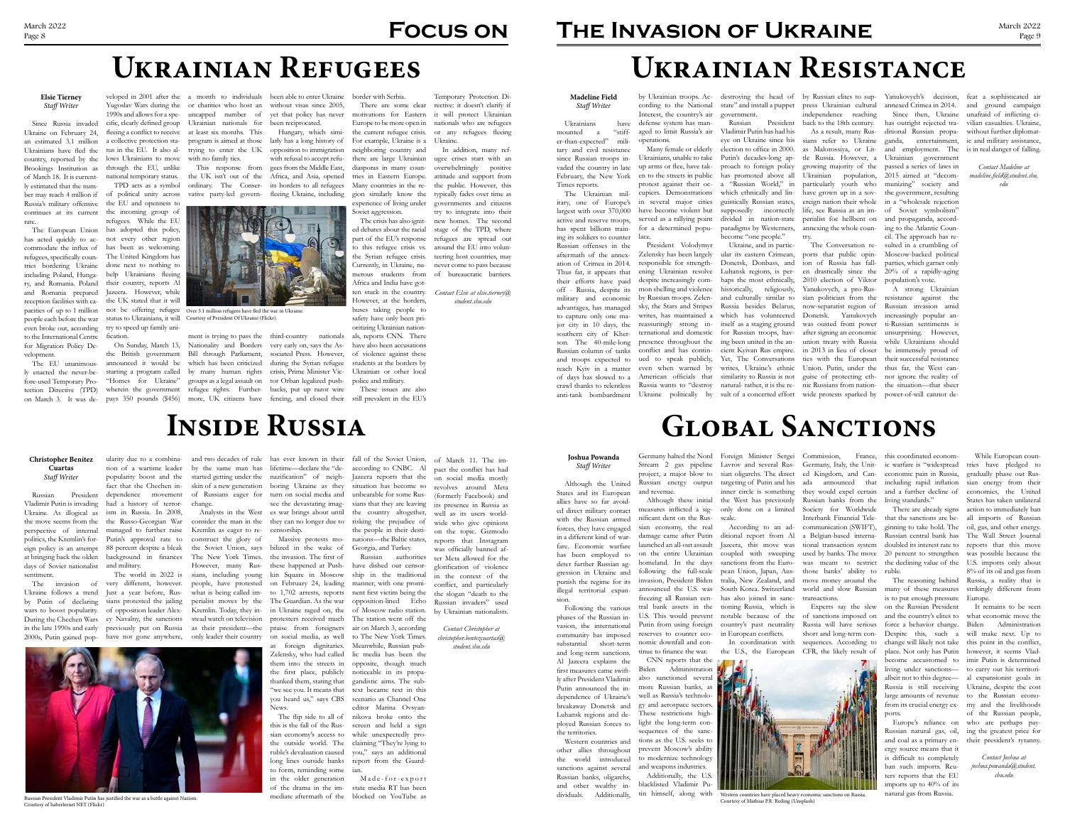#### **Madeline Field** *Staff Writer*

Ukrainians have

mounted a "stiffer-than-expected" military and civil resistance since Russian troops invaded the country in late February, the New York Times reports.

son. The 40-mile-long presence throughout the ing been united in the an-union treaty with Russia while Ukrainians should reassuringly strong in- itself as a staging ground was ousted from power ti-Russian sentiments is ternational and domestic for Russian troops, hav-after signing an economic unsurprising. However, Russia wants to "destroy natural- rather, it is the re-nic Russians from nation-the situation—that sheer Ukraine, and in particular its eastern Crimean, Donetsk, Donbass, and Luhansk regions, is per-en drastically since the 20% of a rapidly-aging haps the most ethnically, historically, religiously, Yanukovych, a pro-Rusand culturally similar to Russia besides Belarus, which has volunteered Donetsk. Yanukovych increasingly popular ancient Kyivan Rus empire. in 2013 in lieu of closer be immensely proud of Yet, The Conversations ties with the European their successful resistance writes, Ukraine's ethnic Union. Putin, under the thus far, the West cansimilarity to Russia is not guise of protecting eth- not ignore the reality of

The Ukrainian military, one of Europe's largest with over 370,000 active and reserve troops, has spent billions training its soldiers to counter lace. Russian offenses in the aftermath of the annexation of Crimea in 2014. Thus far, it appears that their efforts have paid off - Russia, despite its military and economic advantages, has managed to capture only one major city in 10 days, the southern city of Kher-Russian column of tanks and troops expected to of days has slowed to a crawl thanks to relentless

cording to the National Interest, the country's air defense system has managed to limit Russia's air operations.

Many female or elderly Ukrainians, unable to take up arms or flee, have taken to the streets in public protest against their occupiers. Demonstrations in several major cities have become violent but served as a rallying point for a determined popu-

reach Kyiv in a matter even when warned by President Volodymyr Zelensky has been largely responsible for strengthening Ukrainian resolve despite increasingly common shelling and violence by Russian troops. Zelensky, the Stars and Stripes writes, has maintained a conflict and has continued to speak publicly, American officials that

state" and install a puppet press Ukrainian cultural annexed Crimea in 2014. government.

Russian President Vladimir Putin has had his eye on Ukraine since his election to office in 2000. Putin's decades-long approach to foreign policy has promoted above all a "Russian World," in which ethnically and linguistically Russian states, supposedly incorrectly divided in nation-state paradigms by Westerners, become "one people."

by Ukrainian troops. Ac-destroying the head of by Russian elites to sup-Yanukovych's decision,

anti-tank bombardment Ukraine politically by sult of a concerted effort wide protests sparked by power-of-will cannot de-The Conversation reports that public opinion of Russia has fall-2010 election of Viktor population's vote. sian politician from the now-separatist region of Russian invasion amid

independence reaching back to the 18th century.

As a result, many Russians refer to Ukraine as Malorossiya, or Litgrowing majority of the Ukrainian population, particularly youth who have grown up in a sovereign nation their whole life, see Russia as an imannexing the whole country.

tle Russia. However, a Ukrainian government perialist foe hellbent on and propaganda, accord-Since then, Ukraine has outright rejected traditional Russian propaganda, entertainment, and employment. The passed a series of laws in 2015 aimed at "decommunizing" society and the government, resulting in a "wholesale rejection of Soviet symbolism" ing to the Atlantic Council. The approach has resulted in a crumbling of Moscow-backed political parties, which garner only

Jazeera, this move was tional transaction system doubled its interest rate to reports that this move coupled with sweeping used by banks. The move 20 percent to strengthen was possible because the sanctions from the Euro- was meant to restrict the declining value of the U.S. imports only about There are already signs that the sanctions are beginning to take hold. The oil, gas, and other energy. Russian central bank has

A strong Ukrainian resistance against the

feat a sophisticated air and ground campaign unafraid of inflicting civilian casualties. Ukraine, without further diplomatic and military assistance, is in real danger of falling.

*Contact Madeline at madeline.field@student.shu. edu*

# **Ukrainian Resistance**

### **Joshua Powanda** *Staff Writer*

Although the United States and its European allies have so far avoided direct military contact with the Russian armed forces, they have engaged in a different kind of warfare. Economic warfare has been employed to deter further Russian aggression in Ukraine and punish the regime for its illegal territorial expansion.

The EU unanimous-announced it would be which has been criticized during the Syrian refugee on March 3. It was de-pays 350 pounds (\$456) more, UK citizens have fencing, and closed their still prevalent in the EU's On Sunday, March 13, Nationality and Borders very early on, says the Asthe British government Bill through Parliament, sociated Press. However, starting a program called by many human rights crisis, Prime Minister Vic-"Homes for Ukraine" groups as a legal assault on tor Orban legalized pushwherein the government refugee rights. Further- backs, put up razor wire

> Following the various phases of the Russian invasion, the international community has imposed substantial short-term and long-term sanctions. Al Jazeera explains the first measures came swiftly after President Vladimir Putin announced the independence of Ukraine's breakaway Donetsk and Luhansk regions and deployed Russian forces to the territories.

Western countries and other allies throughout the world introduced sanctions against several Russian banks, oligarchs, and other wealthy individuals. Additionally,

Stream 2 gas pipeline project, a major blow to Russian energy output and revenue.

Although these initial measures inflicted a significant dent on the Russian economy, the real damage came after Putin launched an all-out assault on the entire Ukrainian homeland. In the days following the full-scale invasion, President Biden tral bank assets in the U.S. This would prevent Putin from using foreign reserves to counter economic downfall and continue to finance the war.

Germany halted the Nord Foreign Minister Sergei Commission, France, Lavrov and several Rus-Germany, Italy, the Unitsian oligarchs. The direct ed Kingdom, and Cantargeting of Putin and his inner circle is something the West has previously only done on a limited scale.

CNN reports that the Biden Administration also sanctioned several more Russian banks, as well as Russia's technology and aerospace sectors. These restrictions highlight the long-term consequences of the sanctions as the U.S. seeks to prevent Moscow's ability to modernize technology and weapons industries.

Additionally, the U.S. blacklisted Vladimir Putin himself, along with

freezing all Russian cen-has also joined in sanc-transactions. ditional report from Al a Belgian-based internapean Union, Japan, Aus-those banks' ability to ruble. tralia, New Zealand, and move money around the tioning Russia, which notable because of the country's past neutrality in European conflicts.

According to an ad-communication (SWIFT), ada announced that they would expel certain Russian banks from the Society for Worldwide Interbank Financial Tele-

In coordination with

the U.S., the European CFR, the likely result of Experts say the slew of sanctions imposed on Russia will have serious short and long-term consequences. According to

announced the U.S. was South Korea. Switzerland world and slow Russian many of these measures strikingly different from While European countries have pledged to gradually phase out Russian energy from their economies, the United States has taken unilateral action to immediately ban all imports of Russian The Wall Street Journal 8% of its oil and gas from Russia, a reality that is

Analysts in the West es war brings about until the country altogether, consider the man in the they can no longer due to risking the prejudice of

this coordinated economic warfare is "widespread economic pain in Russia, including rapid inflation and a further decline of living standards."

The reasoning behind is to put enough pressure Europe. on the Russian President force a behavior change. place. Not only has Putin however, it seems Vladliving under sanctions— to carry out his territorilarge amounts of revenue to the Russian econofrom its crucial energy exports.

Russian natural gas, oil, and coal as a primary energy source means that it is difficult to completely ban such imports. Reuters reports that the EU imports up to 40% of its natural gas from Russia.

and the country's elites to what economic move the Despite this, such a will make next. Up to change will likely not take this point in the conflict, become accustomed to imir Putin is determined albeit not to this degree— al expansionist goals in Russia is still receiving Ukraine, despite the cost Europe's reliance on who are perhaps pay-It remains to be seen Biden Administration my and the livelihoods of the Russian people, ing the greatest price for their president's tyranny.

> *Contact Joshua at joshua.powanda@student. shu.edu*

# **Global Sanctions**

### **Elsie Tierney** *Staff Writer*

Since Russia invaded Ukraine on February 24, an estimated 3.1 million Ukrainians have fled the country, reported by the Brookings Institution as of March 18. It is currently estimated that the number may reach 4 million if Russia's military offensive continues at its current the incoming group of rate.

has acted quickly to ac-not every other region commodate the influx of refugees, specifically countries bordering Ukraine done next to nothing to including Poland, Hungary, and Romania. Poland and Romania prepared reception facilities with capacities of up to 1 million people each before the war even broke out, according to the International Centre for Migration Policy Development.

ly enacted the never-before-used Temporary Protection Directive (TPD)

The European Union has adopted this policy, the EU and openness to refugees. While the EU has been as welcoming. The United Kingdom has help Ukrainians fleeing their country, reports Al Jazeera. However, while the UK stated that it will not be offering refugee Over 3.1 million refugees have fled the war in Ukraine. status to Ukrainians, it will Courtesy of President Of Ukraine (Flickr). try to speed up family unification.

tus in the EU. It also allows Ukrainians to move with no family ties. through the EU, unlike national temporary status.

veloped in 2001 after the a month to individuals been able to enter Ukraine border with Serbia. Yugoslav Wars during the or charities who host an without visas since 2005, 1990s and allows for a spe-uncapped number of cific, clearly defined group Ukrainian nationals for fleeing a conflict to receive at least six months. This a collective protection sta-program is aimed at those larly has a long history of trying to enter the UK opposition to immigration

TPD acts as a symbol ordinary. The Conser-its borders to all refugees of political unity across vative party-led govern-fleeing Ukraine, including This response from the UK isn't out of the Africa, and Asia, opened



ment is trying to pass the third-country nationals

been reciprocated.

Hungary, which simi-

with refusal to accept refugees from the Middle East,

there are large Ukrainian diasporas in many countries in Eastern Europe. Many countries in the region similarly know the experience of living under

yet that policy has never motivations for Eastern There are some clear Europe to be more open in the current refugee crisis. For example, Ukraine is a Ukraine. neighboring country and Temporary Protection Directive: it doesn't clarify if it will protect Ukrainian nationals who are refugees or any refugees fleeing In addition, many ref-

Soviet aggression.

The crisis has also ignited debates about the racial part of the EU's response to this refugee crisis vs. the Syrian refugee crisis. Currently, in Ukraine, numerous students from Africa and India have gotten stuck in the country. However, at the borders, buses taking people to safety have only been prioritizing Ukrainian nationals, reports CNN. There have also been accusations of violence against these students at the borders by Ukrainian or other local

police and military.

These issues are also

ugee crises start with an overwhelmingly positive attitude and support from the public. However, this typically fades over time as governments and citizens try to integrate into their new homes. The second stage of the TPD, where refugees are spread out around the EU into volunteering host countries, may never come to pass because

of bureaucratic barriers.

*Contact Elsie at elsie.tierney@ student.shu.edu*

# **Ukrainian Refugees**

# March 2022<br>Page 8 **FOCUS ON**

#### **Christopher Benítez Cuartas** *Staff Writer*

Russian President Vladimir Putin is invading Ukraine. As illogical as the move seems from the perspective of internal politics, the Kremlin's foreign policy is an attempt at bringing back the olden days of Soviet nationalist sentiment.

wars to boost popularity. During the Chechen Wars in the late 1990s and early 2000s, Putin gained pop-

popularity boost and the fact that the Chechen independence movement had a history of terrorism in Russia. In 2008, the Russo-Georgian War managed to further raise Putin's approval rate to 88 percent despite a bleak background in finances The New York Times. the invasion. The first of and military.

by Putin of declaring sians protested the jailing perialist moves by the The Guardian. As the war opposition-lined Echo stead watch on television

ularity due to a combina-and two decades of rule has ever known in their fall of the Soviet Union, of March 11. The imtion of a wartime leader by the same man has lifetime—declare the "de-according to CNBC. Al started getting under the nazification" of neigh- Jazeera reports that the on social media mostly skin of a new generation boring Ukraine as they

change.

of opposition leader Alex-Kremlin. Today, they iney Navalny, the sanctions previously put on Russia as their president—the have not gone anywhere, only leader their country

Kremlin as eager to re-censorship. construct the glory of

of Russians eager for turn on social media and see the devastating imag-

the Soviet Union, says bilized in the wake of However, many Rus-these happened at Push-Massive protests moprotesters received much praise from foreigners on social media, as well as foreign dignitaries. Zelensky, who had called them into the streets in the first place, publicly thanked them, stating that "we see you. It means that you heard us," says CBS News.

The invasion of very different, however. people, have protested on February 24, leading manner, with one promi-conflict, and particularly Ukraine follows a trend Just a year before, Rus- what is being called im- to 1,702 arrests, reports nent first victim being the the slogan "death to the The world in 2022 is sians, including young kin Square in Moscow ship in the traditional in Ukraine raged on, the of Moscow radio station. long lines outside banks report from the Guard-Russian authorities have dished out censor-The station went off the to The New York Times. Meanwhile, Russian pubopposite, though much editor Marina Ovsyanscreen and held a sign

The flip side to all of this is the fall of the Russian economy's access to the outside world. The ruble's devaluation caused to form, reminding some ian. in the older generation of the drama in the im-

situation has become so unbearable for some Russians that they are leaving the people in their destinations—the Baltic states, Georgia, and Turkey.

mediate aftermath of the blocked on YouTube as  $M$  a d e - f o r - e x p o r t state media RT has been

## air on March 3, according lic media has been the noticeable in its propagandistic aims. The subtext became text in this scenario as Channel One nikova broke onto the while unexpectedly proclaiming "They're lying to you," says an additional *christopher.bentezcuartas@*

# **THE INVASION OF UKRAINE** MARCH AND MARCH 2022

pact the conflict has had

revolves around Meta (formerly Facebook) and its presence in Russia as well as its users worldwide who give opinions on the topic. Gizmodo reports that Instagram was officially banned after Meta allowed for the glorification of violence in the context of the

Russian invaders" used by Ukrainian nationalists.

*Contact Christopher at*

*student.shu.edu*

# **Inside Russia**



Russian President Vladimir Putin has justified the war as a battle against Nazism. Courtesy of haberlernet NET (Flickr)



Western countries have placed heavy economic sanctions on Russia. Courtesy of Mathias P.R. Reding (Unsplash)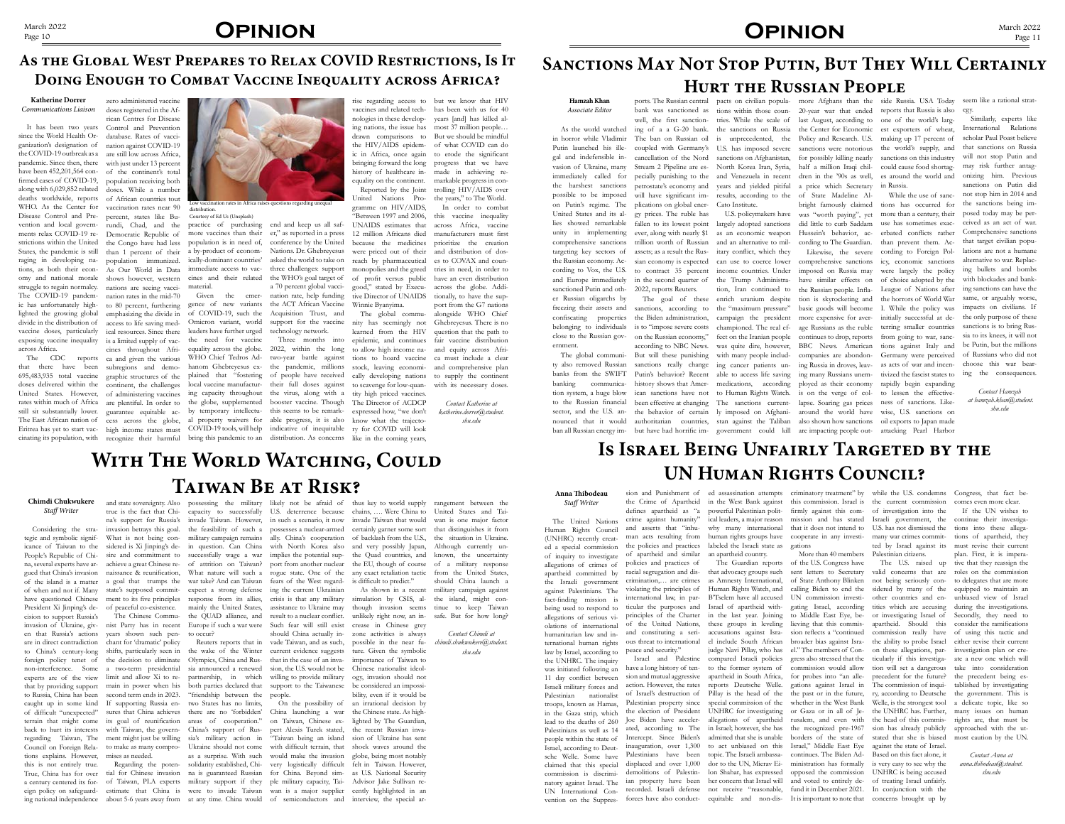# March 2022<br>Page 10 **OPINION**

### **Chimdi Chukwukere** *Staff Writer*

Considering the strategic and symbolic significance of Taiwan to the People's Republic of China, several experts have argued that China's invasion are in direct contradiction chant for 'dramatic' policy tions explains. However, mises as needed. this is not entirely true.

en that Russia's actions years shown such pen- to occur? foreign policy tenet of the decision to eliminate Olympics, China and Rus- that in the case of an invanon-interference. Some a two-term presidential sia announced a renewed sion, the U.S. would not be experts are of the view limit and allow Xi to re- partnership, in which willing to provide military that by providing support main in power when his both parties declared that support to the Taiwanese be considered an impossito Russia, China has been second term ends in 2023. "friendship between the people. caught up in some kind If supporting Russia en-two States has no limits, of difficult "unexpected" sures that China achieves there are no 'forbidden' China launching a war the Chinese state. As highback to hurt its interests with Taiwan, the govern-China's support of Rus-pert Alexis Turek stated, the recent Russian inva-

a century centered its for- of Taiwan, PLA experts military support if they ple military capacity, Tai- Advisor Jake Sullivan reing national independence about 5-6 years away from at any time. China would of semiconductors and interview, the special ar-

to China's century-long shifts, particularly seen in the wake of the Winter current evidence suggests ture. Given the symbolic terrain that might come its goal of reunification areas of cooperation." on Taiwan, Chinese ex-lighted by The Guardian, regarding Taiwan, The ment might just be willing sia's military action in "Taiwan being an island sion of Ukraine has sent Council on Foreign Rela-to make as many compro-Ukraine should not come with difficult terrain, that shock waves around the True, China has for over tial for Chinese invasion na is guaranteed Russian for China. Beyond sim-as U.S. National Security eign policy on safeguard-estimate that China is were to invade Taiwan wan is a major supplier cently highlighted in an Regarding the poten-solidarity established, Chi-very logistically difficult felt in Taiwan. However, as a surprise. With such would make the invasion globe, being most notably On the possibility of an irrational decision by zone activities is always possible in the near fuimportance of Taiwan to Chinese nationalist ideology, invasion should not bility, even if it would be

of the island is a matter a goal that trumps the war take? And can Taiwan fears of the West regard-is difficult to predict." of when and not if. Many state's supposed commit-expect a strong defense ing the current Ukrainian have questioned Chinese ment to its five principles response from its allies, crisis is that any military simulation by CSIS, al- the island, might con-President Xi Jinping's de- of peaceful co-existence. mainly the United States, assistance to Ukraine may though invasion seems tinue to keep Taiwan cision to support Russia's The Chinese Commu-the QUAD alliance, and result to a nuclear conflict. unlikely right now, an in-safe. But for how long? invasion of Ukraine, giv-nist Party has in recent Europe if such a war were Such fear will still exist crease in Chinese grey and state sovereignty. Also possessing the military likely not be afraid of thus key to world supply true is the fact that Chi-capacity to successfully U.S. deterrence because chains, …. Were China to United States and Taina's support for Russia's invade Taiwan. However, in such a scenario, it now invade Taiwan that would wan is one major factor invasion betrays this goal. the feasibility of such a possesses a nuclear-armed certainly garner some sort that distinguishes it from What is not being con- military campaign remains ally. China's cooperation of backlash from the U.S., the situation in Ukraine. sidered is Xi Jinping's de- in question. Can China with North Korea also and very possibly Japan, Although currently unsire and commitment to successfully wage a war implies the potential sup- the Quad countries, and known, the uncertainty achieve a great Chinese re- of attrition on Taiwan? port from another nuclear the EU, though of course of a military response naissance & reunification, What nature will such a rogue state. One of the any exact retaliation tactic from the United States,

## WITH THE WORLD WATCHING, COULD **Taiwan Be at Risk?**

Reuters reports that in vade Taiwan, and as such, should China actually inAs shown in a recent military campaign against rangement between the should China launch a

> *Contact Chimdi at chimdi.chukwukere@student. shu.edu*

## **As the Global West Prepares to Relax COVID Restrictions, Is It Doing Enough to Combat Vaccine Inequality across Africa?**

## **Katherine Dorrer** *Communications Liaison*

It has been two years since the World Health Organization's designation of nation against COVID-19 the COVID-19 outbreak as a are still low across Africa, pandemic. Since then, there with just under 13 percent have been 452,201,564 con-of the continent's total firmed cases of COVID-19, population receiving both along with 6,029,852 related doses. While a number deaths worldwide, reports of African countries tout WHO. As the Center for vaccination rates near 90 Disease Control and Prevention and local govern-rundi, Chad, and the ments relax COVID-19 re-Democratic Republic of strictions within the United the Congo have had less States, the pandemic is still raging in developing na-population immunized. tions, as both their econ-As Our World in Data omy and national morale shows however, western struggle to regain normalcy. The COVID-19 pandem-nation rates in the mid-70 ic has unfortunately high-to 80 percent, furthering lighted the growing global divide in the distribution of exposing vaccine inequality is a limited supply of vacacross Africa.

authoritarian countries, stan against the Taliban also shown how sanctions oil exports to Japan made largely adopted sanctions did little to curb Saddam use has sometimes exacand an alternative to mil-cording to The Guardian. than prevent them. Acitary conflict, which they the "maximum pressure" campaign the president with many people includ-

The CDC reports ca and given the various zero administered vaccine doses registered in the African Centres for Disease Control and Prevention database. Rates of vaccipercent, states like Buthan 1 percent of their nations are seeing vacciemphasizing the divide in access to life saving medcines throughout Afri-



that there have been subregions and demo-

vaccine doses, particularly ical resources. Since there leaders have further urged technology network. 695,483,935 total vaccine graphic structures of the plained that "fostering of people have received cally developing nations doses delivered within the continent, the challenges local vaccine manufactur-their full doses against United States. However, of administering vaccines ing capacity throughout the virus, along with a rates within much of Africa are plentiful. In order to the globe, supplemented booster vaccine. Though still sit substantially lower. guarantee equitable ac-by temporary intellectu-this seems to be remark-The East African nation of cess across the globe, al property waivers for able progress, it is also Eritrea has yet to start vac- high income states must COVID-19 tools, will help indicative of inequitable ry for COVID will look cinating its population, with recognize their harmful bring this pandemic to an distribution. As concerns like in the coming years, gence of new variants the ACT African Vaccine of COVID-19, such the Omicron variant, world the need for vaccine equality across the globe. 2022, within the long WHO Chief Tedros Ad-two-year battle against hanom Ghebreyesus ex-the pandemic, millions

U.S. policymakers have was "worth paying", yet more than a century, their as an economic weapon Hussein's behavior, ac-erbated conflicts rather bright famously claimed tions has occurred for basic goods will become I. While the policy was impacts on civilians. If companies are abondon-Germany were perceived While the use of sanc-

practice of purchasing more vaccines than their er," as reported in a press population is in need of, a by-product of economically-dominant countries' immediate access to vaccines and their related the WHO's goal target of material.

Given the emer-nation rate, help funding end and keep us all safconference by the United Nations. Dr. Ghebreyesus asked the world to take on three challenges: support a 70 percent global vacci-Acquisition Trust, and support for the vaccine

Three months into

lead to the deaths of 260 Joe Biden have acceler-allegations of apartheid rusalem, and even with the head of this commis-rights are, that must be Palestinians as well as 14 ated, according to The in Israel; however, she has the recognized pre-1967 sion has already publicly approached with the utsche Welle. Some have Palestinians have been topic. The Israeli ambassa-continues. The Biden Ad-Based on this fact alone, it claimed that this special displaced and over 1,000 dor to the UN, Mierav Ei-ministration has formally is very easy to see why the natory against Israel. The ian property have been her concern that Israel will and voted to entirely de-of treating Israel unfairly. UN International Con-recorded. Israeli defense not receive "reasonable, fund it in December 2021. In conjunction with the vention on the Suppres- forces have also conduct- equitable and non-dis- It is important to note that concerns brought up by

rise regarding access to but we know that HIV ing nations, the issue has drawn comparisons to the HIV/AIDS epidemic in Africa, once again bringing forward the long history of healthcare inequality on the continent. Reported by the Joint

United Nations Programme on HIV/AIDS, "Between 1997 and 2006, UNAIDS estimates that 12 million Africans died because the medicines were priced out of their and distribution of dosreach by pharmaceutical monopolies and the greed of profit versus public good," stated by Executive Director of UNAIDS Winnie Byanyima.

> man acts resulting from human rights groups have cooperate in any investi- many war crimes commitlabeled the Israeli state as gations an apartheid country.

vaccines and related tech-has been with us for 40 nologies in these develop-years [and] has killed almost 37 million people… But we should be mindful of what COVID can do to erode the significant progress that we have made in achieving remarkable progress in controlling HIV/AIDS over the years," to The World.

The global community has seemingly not learned from the HIV epidemic, and continues to allow high income nations to hoard vaccine stock, leaving economito scavenge for low-quantity high priced vaccines. The Director of ACDCP expressed how, "we don't know what the trajecto-

> sion and Punishment of ed assassination attempts criminatory treatment" by while the U.S. condemns Congress, that fact bethe Crime of Apartheid in the West Bank against this commission. Israel is the current commission comes even more clear. defines apartheid as "a powerful Palestinian polit-firmly against this com-of investigation into the crime against humanity" ical leaders, a major reason mission and has stated Israeli government, the continue their investigawhy many international that it does not intend to U.S. has not dismissed the ted by Israel against its

In order to combat this vaccine inequality across Africa, vaccine manufacturers must first prioritize the creation es to COVAX and countries in need, in order to have an even distribution across the globe. Additionally, to have the support from the G7 nations alongside WHO Chief Ghebreyesus. There is no question that the path to fair vaccine distribution and equity across Africa must include a clear and comprehensive plan to supply the continent

with its necessary doses.

*Contact Katherine at katherine.dorrer@student. shu.edu*

### **Hamzah Khan** *Associate Editor*

The U.S. raised up tive that they reassign the If the UN wishes to tions into these allegations of apartheid, they must revise their current plan. First, it is impera-

As the world watched in horror while Vladimir Putin launched his illegal and indefensible invasion of Ukraine, many immediately called for the harshest sanctions possible to be imposed on Putin's regime. The United States and its allies showed remarkable unity in implementing comprehensive sanctions targeting key sectors of the Russian economy. According to Vox, the U.S. and Europe immediately sanctioned Putin and other Russian oligarchs by freezing their assets and confiscating properties belonging to individuals close to the Russian government.

The global community also removed Russian banks from the SWIFT banking communication system, a huge blow to the Russian financial sector, and the U.S. announced that it would

fallen to its lowest point ever, along with nearly \$1 trillion worth of Russian assets; as a result the Russian economy is expected to contract 35 percent in the second quarter of 2022, reports Reuters.

The goal of these sanctions, according to the Biden administration, is to "impose severe costs

ports. The Russian central pacts on civilian popula-more Afghans than the side Russia. USA Today bank was sanctioned as tions within those coun- 20-year war that ended reports that Russia is also well, the first sanctioning of a a G-20 bank. The ban on Russian oil coupled with Germany's U.S. has imposed severe sanctions were notorious the world's supply, and cancellation of the Nord Stream 2 Pipeline are especially punishing to the petrostate's economy and will have significant implications on global energy prices. The ruble has years and yielded pitiful Cato Institute.

on the Russian economy,"

according to NBC News. But will these punishing sanctions really change Putin's behavior? Recent history shows that American sanctions have not been effective at changing the behavior of certain

ban all Russian energy im-but have had horrific im-government could kill are impacting people out-attacking Pearl Harbor can use to coerce lower comprehensive sanctions icy, economic sanctions alternative to war. Replacincome countries. Under imposed on Russia may were largely the policy the Trump Administra-have similar effects on of choice adopted by the tion, Iran continued to the Russian people. Infla- League of Nations after enrich uranium despite tion is skyrocketing and the horrors of World War championed. The real ef-age Russians as the ruble terring smaller countries fect on the Iranian people continues to drop, reports from going to war, sancing cancer patients un-ing Russia in droves, leav-as acts of war and incenable to access life saving ing many Russians unem-tivized the fascist states to medications, according ployed as their economy rapidly begin expanding to Human Rights Watch. is on the verge of col-to lessen the effective-The sanctions current-lapse. Soaring gas prices ness of sanctions. Likely imposed on Afghani-around the world have wise, U.S. sanctions on more expensive for aver-initially successful at de-

tries. While the scale of last August, according to one of the world's largis unprecedented, the Policy and Research. U.S. making up 17 percent of North Korea Iran, Syria, half a million Iraqi chil-could cause food shortagand Venezuela in recent dren in the '90s as well, results, according to the of State Madeline Ala price which Secretary in Russia.

the sanctions on Russia the Center for Economic est exporters of wheat, sanctions on Afghanistan, for possibly killing nearly sanctions on this industry es around the world and

## **Sanctions May Not Stop Putin, But They Will Certainly Hurt the Russian People**

was quite dire, however, BBC News. American tions against Italy and be Putin, but the millions Likewise, the severe cording to Foreign Pol-lations are not a humane Similarly, experts like International Relations scholar Paul Poast believe that sanctions on Russia will not stop Putin and may risk further antagonizing him. Previous sanctions on Putin did not stop him in 2014 and the sanctions being imposed today may be perceived as an act of war. Comprehensive sanctions that target civilian popuing bullets and bombs with blockades and banking sanctions can have the same, or arguably worse, the only purpose of these sanctions is to bring Russia to its knees, it will not of Russians who did not choose this war bearing the consequences.

seem like a rational strategy.

*Contact Hamzah at hamzah.khan@student. shu.edu*

## **Is Israel Being Unfairly Targeted by the UN Human Rights Council?**

*Staff Writer*

**Anna Thibodeau** The United Nations Human Rights Council (UNHRC) recently creat-

## ed a special commission of inquiry to investigate allegations of crimes of apartheid committed by the Israeli government against Palestinians. The fact-finding mission is being used to respond to allegations of serious violations of international ternational human rights law by Israel, according to

the UNHRC. The inquiry was initiated following an 11 day conflict between Israeli military forces and Palestinian nationalist troops, known as Hamas, in the Gaza strip, which people within the state of Israel, according to Deutcommission is discrimi-

## **OPINION** March 2022

and asserts that "inhuthe policies and practices of apartheid and similar policies and practices of racial segregation and discrimination,… are crimes peace and security."

humanitarian law and in-and constituting a seri-accusations against Isra-sion reflects a "continued commission really have of using this tactic and violating the principles of Human Rights Watch, and calling Biden to end the sidered by many of the equipped to maintain an international law, in par-B'Tselem have all accused UN commission investi-other countries and en-unbiased view of Israel ticular the purposes and Israel of apartheid with- gating Israel, according tities which are accusing during the investigations. principles of the Charter in the last year. Joining to Middle East Eye, be- or investigating Israel of Secondly, they need to of the United Nations, these groups in leveling lieving that this commis-apartheid. Should this consider the ramifications ous threat to international el include South African broader bias against Isra-the ability to probe Israel either revise their current Israel and Palestine compared Israeli policies gress also stressed that the ticularly if this investiga-ate a new one which will have a long history of ten-to the former system of commission would allow tion will set a dangerous take into consideration sion and mutual aggressive apartheid in South Africa, for probes into "an alle-precedent for the future? the precedent being esaction. However, the rates reports Deutsche Welle. gations against Israel in The commission of inqui- tablished by investigating of Israel's destruction of Pillay is the head of the the past or in the future, ry, according to Deutsche the government. This is Palestinian property since special commission of the whether in the West Bank Welle, is the strongest tool a delicate topic, like so the election of President UNHRC for investigating or Gaza or in all of Je-the UNHRC has. Further, many issues on human Intercept. Since Biden's admitted that she is unable borders of the state of stated that she is biased most caution by the UN. inauguration, over 1,300 to act unbiased on this Israel," Middle East Eye against the state of Israel. demolitions of Palestin-lon Shahar, has expressed opposed the commission UNHRC is being accused that advocacy groups such sent letters to Secretary valid concerns that are roles on the commission as Amnesty International, of State Anthony Blinken not being seriously con-to delegates that are more judge Navi Pillay, who has el." The members of Con-on these allegations, par-investigation plan or cre-

The Guardian reports of the U.S. Congress have More than 40 members Palestinian citizens.

*Contact Anna at anna.thibodeau@student. shu.edu*

Low vaccination rates in Africa raises questions regarding unequal distribution. Courtesy of Ed Us (Unsplash)